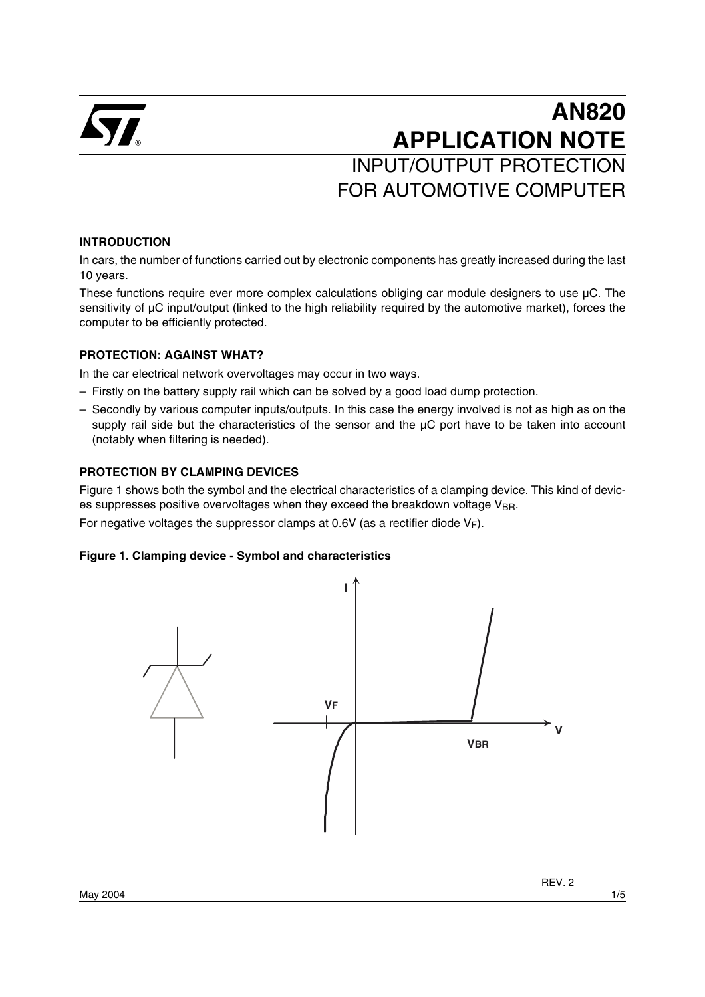

# **AN820 APPLICATION NOTE** INPUT/OUTPUT PROTECTION FOR AUTOMOTIVE COMPUTER

#### **INTRODUCTION**

In cars, the number of functions carried out by electronic components has greatly increased during the last 10 years.

These functions require ever more complex calculations obliging car module designers to use µC. The sensitivity of µC input/output (linked to the high reliability required by the automotive market), forces the computer to be efficiently protected.

#### **PROTECTION: AGAINST WHAT?**

In the car electrical network overvoltages may occur in two ways.

- Firstly on the battery supply rail which can be solved by a good load dump protection.
- Secondly by various computer inputs/outputs. In this case the energy involved is not as high as on the supply rail side but the characteristics of the sensor and the  $\mu$ C port have to be taken into account (notably when filtering is needed).

#### **PROTECTION BY CLAMPING DEVICES**

Figure 1 shows both the symbol and the electrical characteristics of a clamping device. This kind of devices suppresses positive overvoltages when they exceed the breakdown voltage  $V_{\text{BR}}$ .

For negative voltages the suppressor clamps at 0.6V (as a rectifier diode  $V_F$ ).

#### **Figure 1. Clamping device - Symbol and characteristics**



REV. 2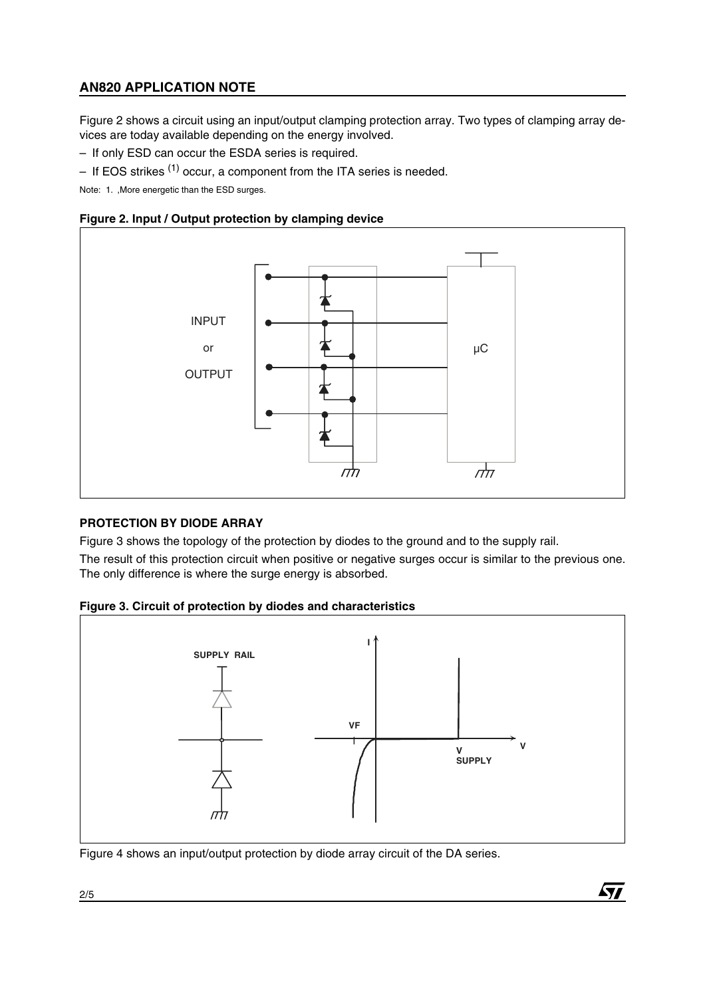# **AN820 APPLICATION NOTE**

Figure 2 shows a circuit using an input/output clamping protection array. Two types of clamping array devices are today available depending on the energy involved.

– If only ESD can occur the ESDA series is required.

– If EOS strikes  $(1)$  occur, a component from the ITA series is needed.

Note: 1. ,More energetic than the ESD surges.





## **PROTECTION BY DIODE ARRAY**

Figure 3 shows the topology of the protection by diodes to the ground and to the supply rail.

The result of this protection circuit when positive or negative surges occur is similar to the previous one. The only difference is where the surge energy is absorbed.





 $\sqrt{1}$ 

Figure 4 shows an input/output protection by diode array circuit of the DA series.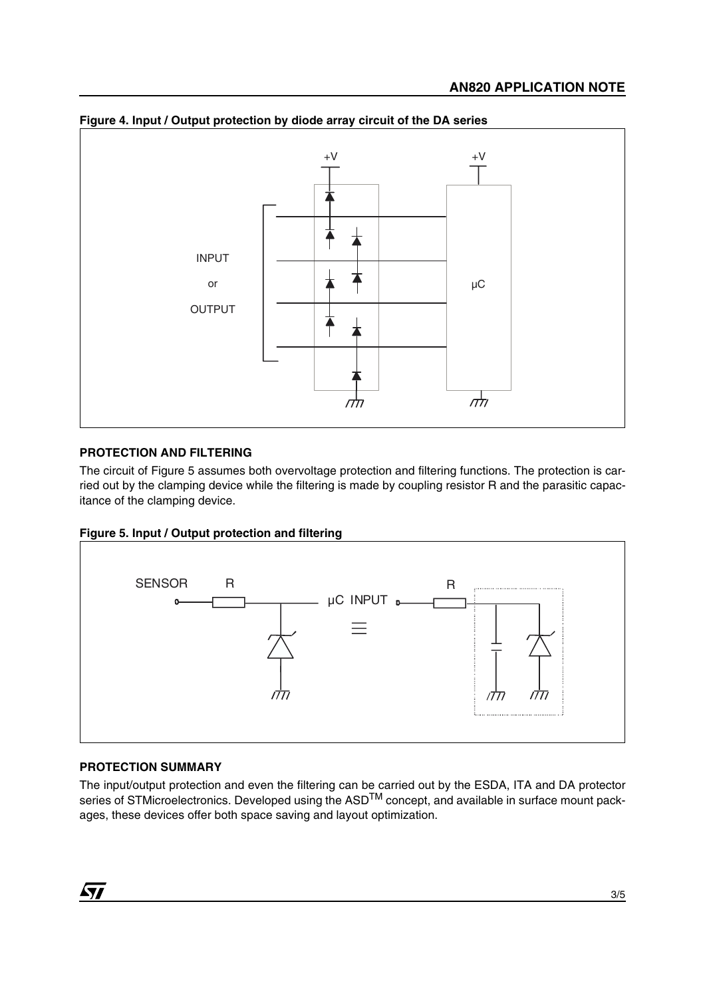

#### **Figure 4. Input / Output protection by diode array circuit of the DA series**

## **PROTECTION AND FILTERING**

The circuit of Figure 5 assumes both overvoltage protection and filtering functions. The protection is carried out by the clamping device while the filtering is made by coupling resistor R and the parasitic capacitance of the clamping device.





## **PROTECTION SUMMARY**

The input/output protection and even the filtering can be carried out by the ESDA, ITA and DA protector series of STMicroelectronics. Developed using the ASD<sup>TM</sup> concept, and available in surface mount packages, these devices offer both space saving and layout optimization.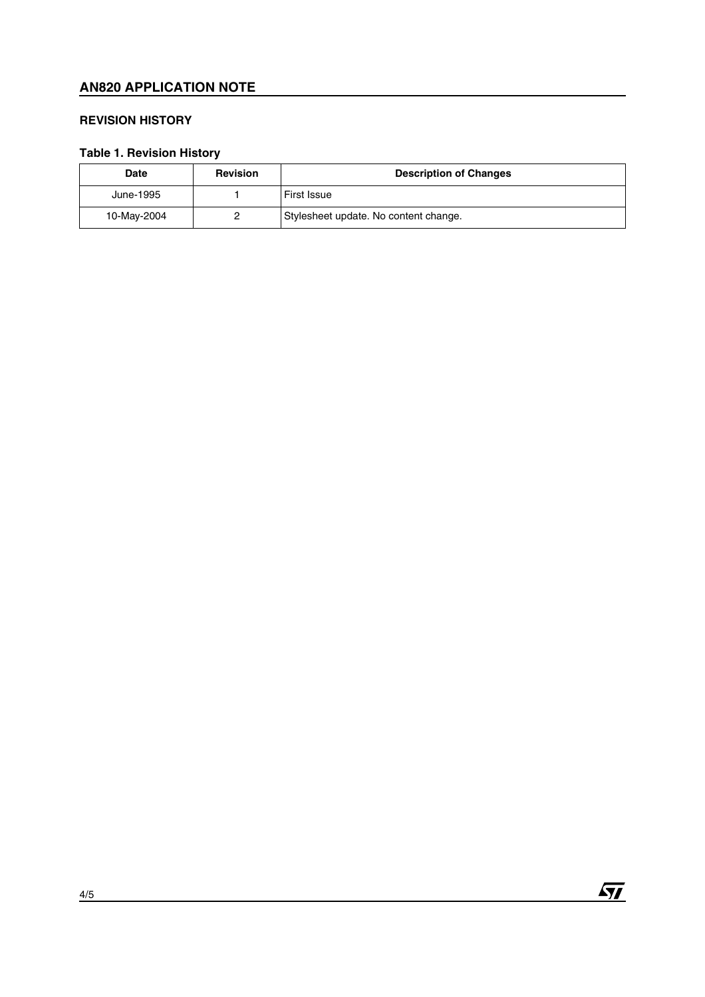# **AN820 APPLICATION NOTE**

## **REVISION HISTORY**

# **Table 1. Revision History**

| <b>Date</b> | <b>Revision</b> | <b>Description of Changes</b>         |
|-------------|-----------------|---------------------------------------|
| June-1995   |                 | <b>First Issue</b>                    |
| 10-May-2004 |                 | Stylesheet update. No content change. |